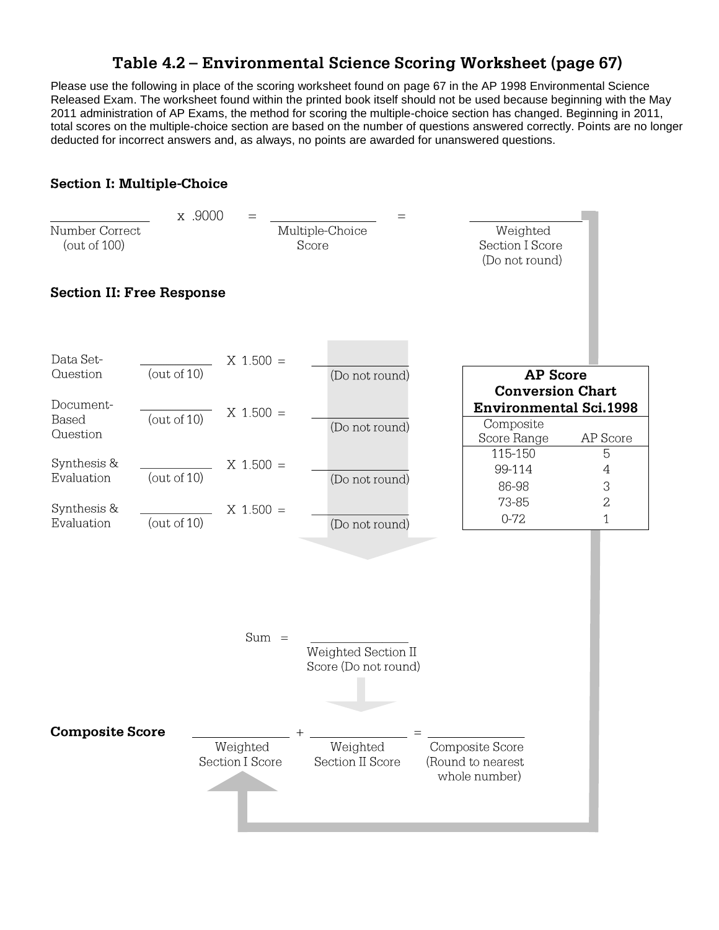## Table 4.2 - Environmental Science Scoring Worksheet (page 67)

Please use the following in place of the scoring worksheet found on page 67 in the AP 1998 Environmental Science Released Exam. The worksheet found within the printed book itself should not be used because beginning with the May 2011 administration of AP Exams, the method for scoring the multiple-choice section has changed. Beginning in 2011, total scores on the multiple-choice section are based on the number of questions answered correctly. Points are no longer deducted for incorrect answers and, as always, no points are awarded for unanswered questions.

## **Section I: Multiple-Choice**